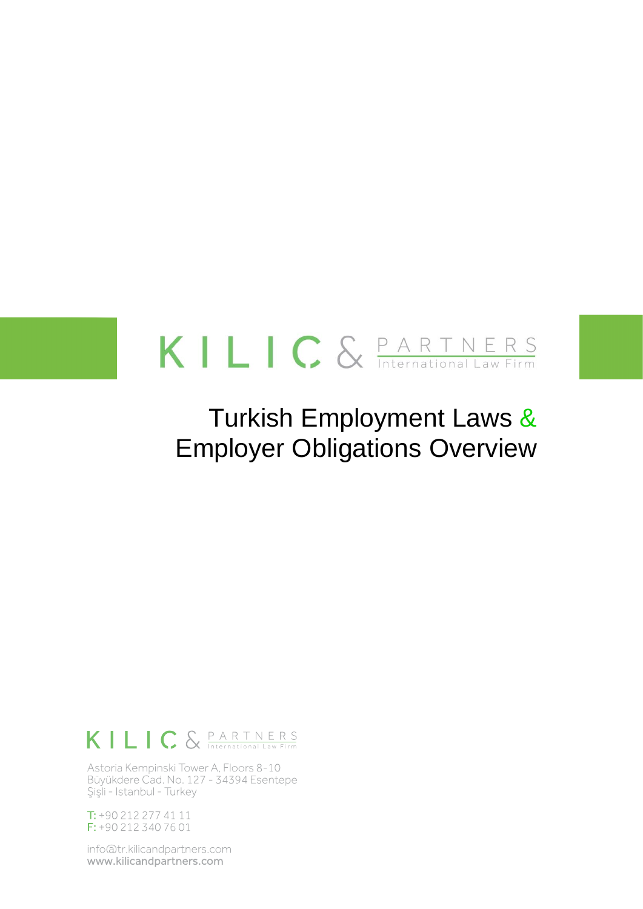# KILIC & **PARTNERS**

# Turkish Employment Laws & Employer Obligations Overview

# KILIC & PARTNERS

Astoria Kempinski Tower A, Floors 8-10 Büyükdere Cad. No. 127 - 34394 Esentepe Şişli - Istanbul - Turkey

 $T: +902122774111$ F: +90 212 340 76 01

info@tr.kilicandpartners.com www.kilicandpartners.com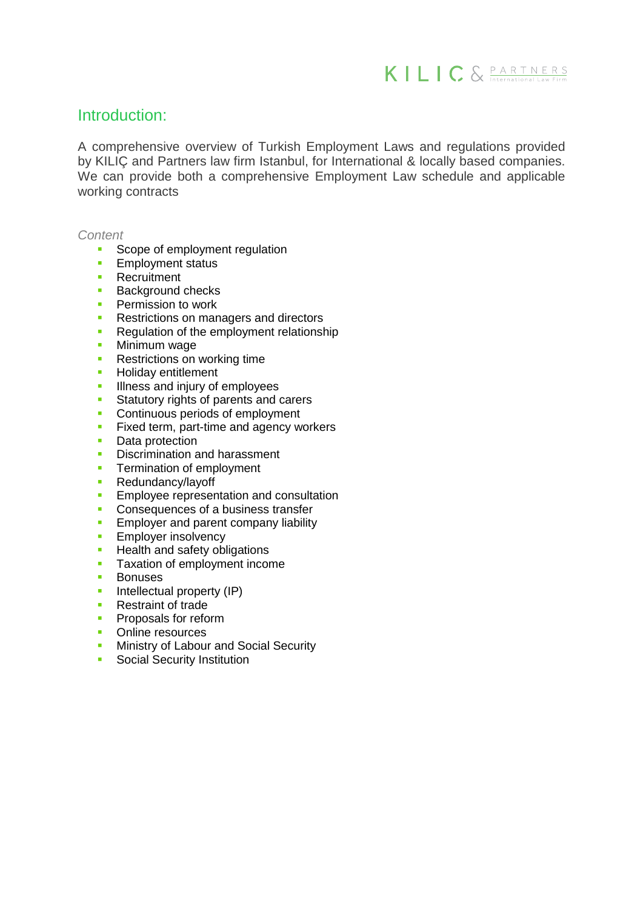

# Introduction:

A comprehensive overview of Turkish Employment Laws and regulations provided by KILIÇ and Partners law firm Istanbul, for International & locally based companies. We can provide both a comprehensive Employment Law schedule and applicable working contracts

*Content*

- Scope of employment regulation
- **Employment status**
- **Recruitment**
- **Background checks**
- **Permission to work**
- **Restrictions on managers and directors**
- Requiation of the employment relationship
- **Minimum wage**
- **Restrictions on working time**
- **Holiday entitlement**
- Illness and injury of employees
- Statutory rights of parents and carers
- **Continuous periods of employment**
- **Fixed term, part-time and agency workers**
- Data protection
- **Discrimination and harassment**
- **Termination of employment**
- **Redundancy/layoff**
- **Employee representation and consultation**
- Consequences of a business transfer
- **Employer and parent company liability**
- **Employer insolvency**
- **Health and safety obligations**
- **Taxation of employment income**
- **Bonuses**
- $\blacksquare$  Intellectual property (IP)
- **Restraint of trade**
- **Proposals for reform**
- **C** Online resources
- **Ministry of Labour and Social Security**
- **Social Security Institution**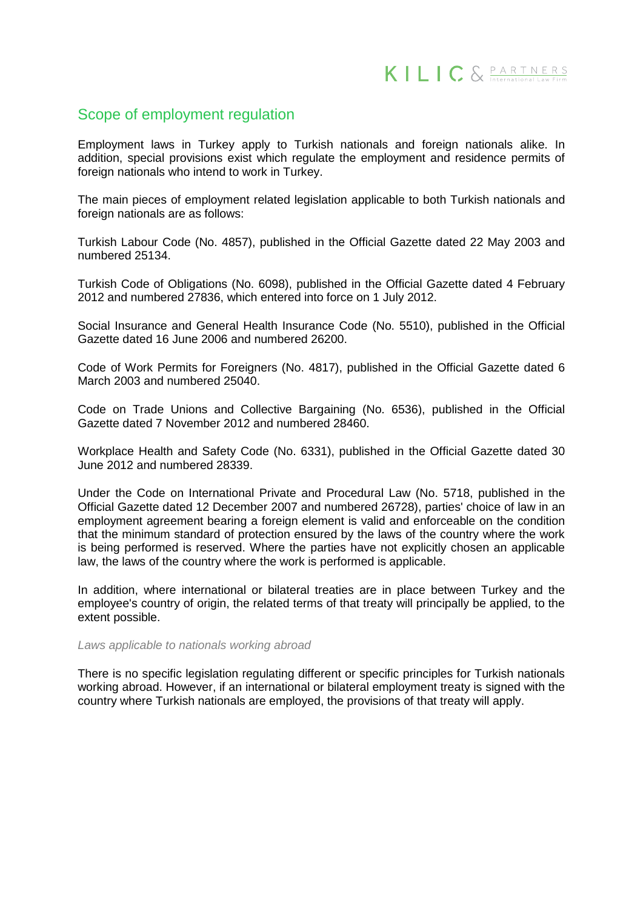# Scope of employment regulation

Employment laws in Turkey apply to Turkish nationals and foreign nationals alike. In addition, special provisions exist which regulate the employment and residence permits of foreign nationals who intend to work in Turkey.

The main pieces of employment related legislation applicable to both Turkish nationals and foreign nationals are as follows:

Turkish Labour Code (No. 4857), published in the Official Gazette dated 22 May 2003 and numbered 25134.

Turkish Code of Obligations (No. 6098), published in the Official Gazette dated 4 February 2012 and numbered 27836, which entered into force on 1 July 2012.

Social Insurance and General Health Insurance Code (No. 5510), published in the Official Gazette dated 16 June 2006 and numbered 26200.

Code of Work Permits for Foreigners (No. 4817), published in the Official Gazette dated 6 March 2003 and numbered 25040.

Code on Trade Unions and Collective Bargaining (No. 6536), published in the Official Gazette dated 7 November 2012 and numbered 28460.

Workplace Health and Safety Code (No. 6331), published in the Official Gazette dated 30 June 2012 and numbered 28339.

Under the Code on International Private and Procedural Law (No. 5718, published in the Official Gazette dated 12 December 2007 and numbered 26728), parties' choice of law in an employment agreement bearing a foreign element is valid and enforceable on the condition that the minimum standard of protection ensured by the laws of the country where the work is being performed is reserved. Where the parties have not explicitly chosen an applicable law, the laws of the country where the work is performed is applicable.

In addition, where international or bilateral treaties are in place between Turkey and the employee's country of origin, the related terms of that treaty will principally be applied, to the extent possible.

*Laws applicable to nationals working abroad*

There is no specific legislation regulating different or specific principles for Turkish nationals working abroad. However, if an international or bilateral employment treaty is signed with the country where Turkish nationals are employed, the provisions of that treaty will apply.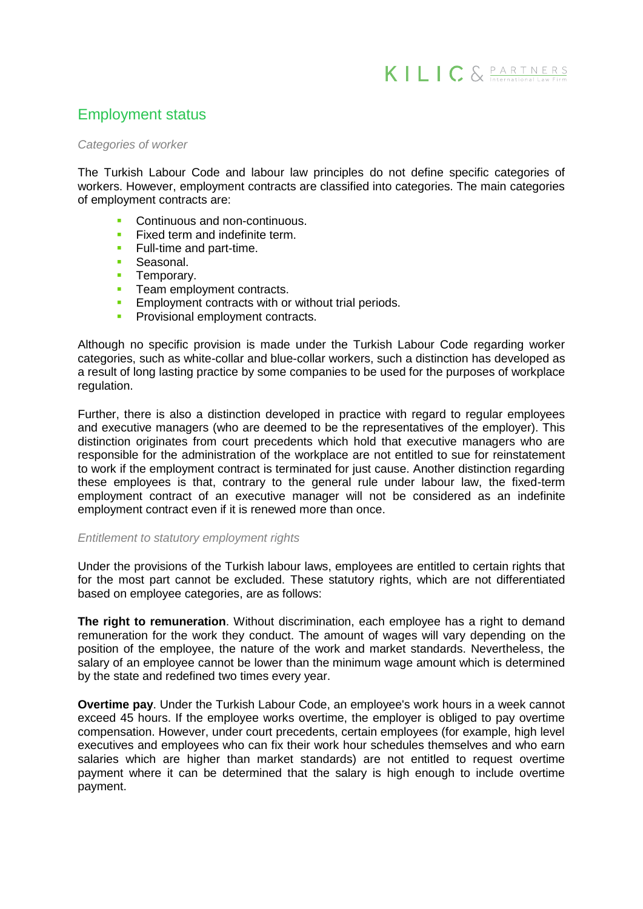# Employment status

#### *Categories of worker*

The Turkish Labour Code and labour law principles do not define specific categories of workers. However, employment contracts are classified into categories. The main categories of employment contracts are:

- **Continuous and non-continuous.**
- **Fixed term and indefinite term.**
- **Full-time and part-time.**
- Seasonal.
- **Temporary.**
- Team employment contracts.<br>Employment contracts with or
- Employment contracts with or without trial periods.
- **Provisional employment contracts.**

Although no specific provision is made under the Turkish Labour Code regarding worker categories, such as white-collar and blue-collar workers, such a distinction has developed as a result of long lasting practice by some companies to be used for the purposes of workplace regulation.

Further, there is also a distinction developed in practice with regard to regular employees and executive managers (who are deemed to be the representatives of the employer). This distinction originates from court precedents which hold that executive managers who are responsible for the administration of the workplace are not entitled to sue for reinstatement to work if the employment contract is terminated for just cause. Another distinction regarding these employees is that, contrary to the general rule under labour law, the fixed-term employment contract of an executive manager will not be considered as an indefinite employment contract even if it is renewed more than once.

#### *Entitlement to statutory employment rights*

Under the provisions of the Turkish labour laws, employees are entitled to certain rights that for the most part cannot be excluded. These statutory rights, which are not differentiated based on employee categories, are as follows:

**The right to remuneration**. Without discrimination, each employee has a right to demand remuneration for the work they conduct. The amount of wages will vary depending on the position of the employee, the nature of the work and market standards. Nevertheless, the salary of an employee cannot be lower than the minimum wage amount which is determined by the state and redefined two times every year.

**Overtime pay**. Under the Turkish Labour Code, an employee's work hours in a week cannot exceed 45 hours. If the employee works overtime, the employer is obliged to pay overtime compensation. However, under court precedents, certain employees (for example, high level executives and employees who can fix their work hour schedules themselves and who earn salaries which are higher than market standards) are not entitled to request overtime payment where it can be determined that the salary is high enough to include overtime payment.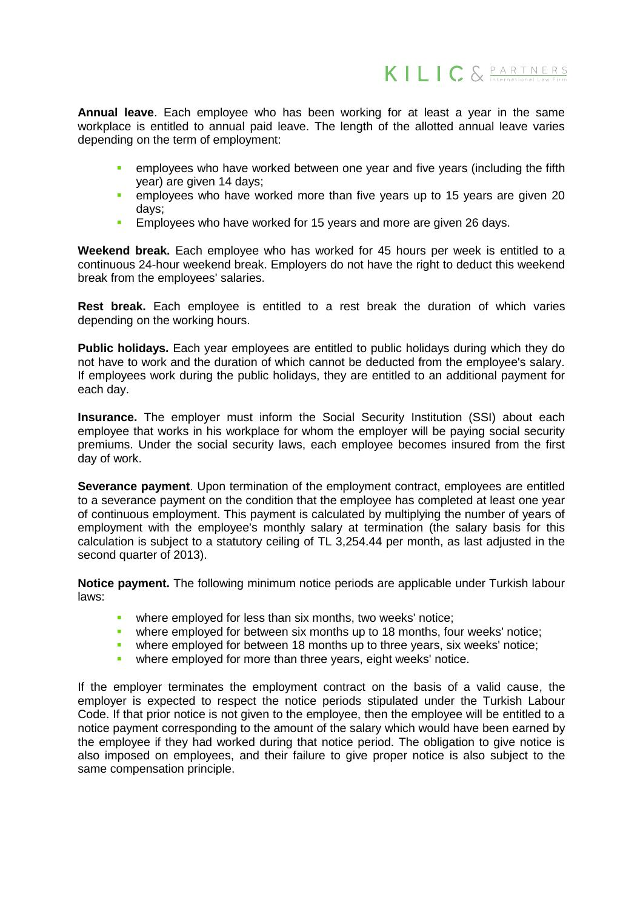**Annual leave**. Each employee who has been working for at least a year in the same workplace is entitled to annual paid leave. The length of the allotted annual leave varies depending on the term of employment:

- **EXECTED EMPLOYEES who have worked between one year and five years (including the fifth** year) are given 14 days;
- **EXECT** employees who have worked more than five years up to 15 years are given 20 days;
- **EMPLO** Employees who have worked for 15 years and more are given 26 days.

**Weekend break.** Each employee who has worked for 45 hours per week is entitled to a continuous 24-hour weekend break. Employers do not have the right to deduct this weekend break from the employees' salaries.

**Rest break.** Each employee is entitled to a rest break the duration of which varies depending on the working hours.

**Public holidays.** Each year employees are entitled to public holidays during which they do not have to work and the duration of which cannot be deducted from the employee's salary. If employees work during the public holidays, they are entitled to an additional payment for each day.

**Insurance.** The employer must inform the Social Security Institution (SSI) about each employee that works in his workplace for whom the employer will be paying social security premiums. Under the social security laws, each employee becomes insured from the first day of work.

**Severance payment**. Upon termination of the employment contract, employees are entitled to a severance payment on the condition that the employee has completed at least one year of continuous employment. This payment is calculated by multiplying the number of years of employment with the employee's monthly salary at termination (the salary basis for this calculation is subject to a statutory ceiling of TL 3,254.44 per month, as last adjusted in the second quarter of 2013).

**Notice payment.** The following minimum notice periods are applicable under Turkish labour laws:

- **•** where employed for less than six months, two weeks' notice:
- **•** where employed for between six months up to 18 months, four weeks' notice;
- where employed for between 18 months up to three years, six weeks' notice;
- where employed for more than three years, eight weeks' notice.

If the employer terminates the employment contract on the basis of a valid cause, the employer is expected to respect the notice periods stipulated under the Turkish Labour Code. If that prior notice is not given to the employee, then the employee will be entitled to a notice payment corresponding to the amount of the salary which would have been earned by the employee if they had worked during that notice period. The obligation to give notice is also imposed on employees, and their failure to give proper notice is also subject to the same compensation principle.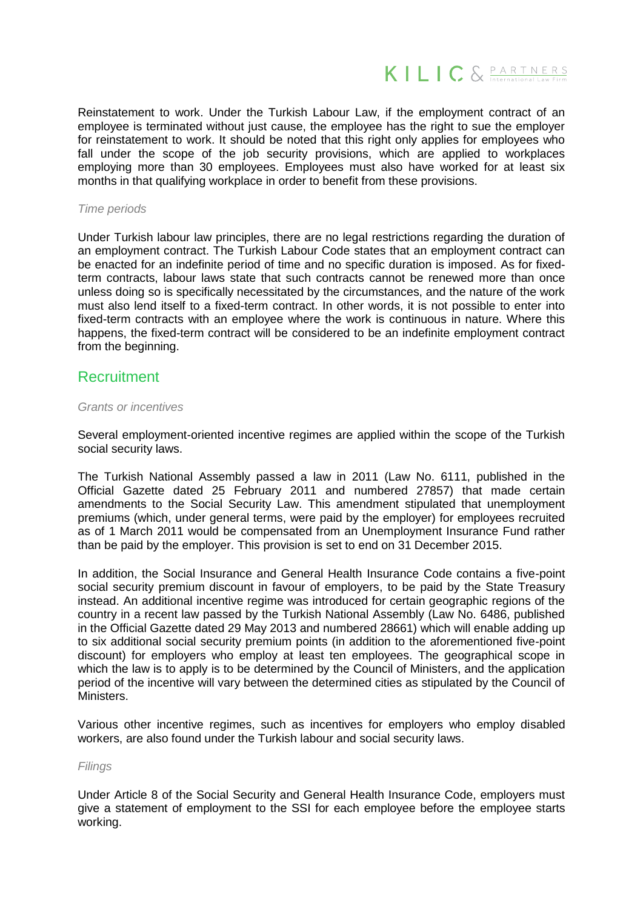

Reinstatement to work. Under the Turkish Labour Law, if the employment contract of an employee is terminated without just cause, the employee has the right to sue the employer for reinstatement to work. It should be noted that this right only applies for employees who fall under the scope of the job security provisions, which are applied to workplaces employing more than 30 employees. Employees must also have worked for at least six months in that qualifying workplace in order to benefit from these provisions.

#### *Time periods*

Under Turkish labour law principles, there are no legal restrictions regarding the duration of an employment contract. The Turkish Labour Code states that an employment contract can be enacted for an indefinite period of time and no specific duration is imposed. As for fixedterm contracts, labour laws state that such contracts cannot be renewed more than once unless doing so is specifically necessitated by the circumstances, and the nature of the work must also lend itself to a fixed-term contract. In other words, it is not possible to enter into fixed-term contracts with an employee where the work is continuous in nature. Where this happens, the fixed-term contract will be considered to be an indefinite employment contract from the beginning.

# Recruitment

#### *Grants or incentives*

Several employment-oriented incentive regimes are applied within the scope of the Turkish social security laws.

The Turkish National Assembly passed a law in 2011 (Law No. 6111, published in the Official Gazette dated 25 February 2011 and numbered 27857) that made certain amendments to the Social Security Law. This amendment stipulated that unemployment premiums (which, under general terms, were paid by the employer) for employees recruited as of 1 March 2011 would be compensated from an Unemployment Insurance Fund rather than be paid by the employer. This provision is set to end on 31 December 2015.

In addition, the Social Insurance and General Health Insurance Code contains a five-point social security premium discount in favour of employers, to be paid by the State Treasury instead. An additional incentive regime was introduced for certain geographic regions of the country in a recent law passed by the Turkish National Assembly (Law No. 6486, published in the Official Gazette dated 29 May 2013 and numbered 28661) which will enable adding up to six additional social security premium points (in addition to the aforementioned five-point discount) for employers who employ at least ten employees. The geographical scope in which the law is to apply is to be determined by the Council of Ministers, and the application period of the incentive will vary between the determined cities as stipulated by the Council of Ministers.

Various other incentive regimes, such as incentives for employers who employ disabled workers, are also found under the Turkish labour and social security laws.

#### *Filings*

Under Article 8 of the Social Security and General Health Insurance Code, employers must give a statement of employment to the SSI for each employee before the employee starts working.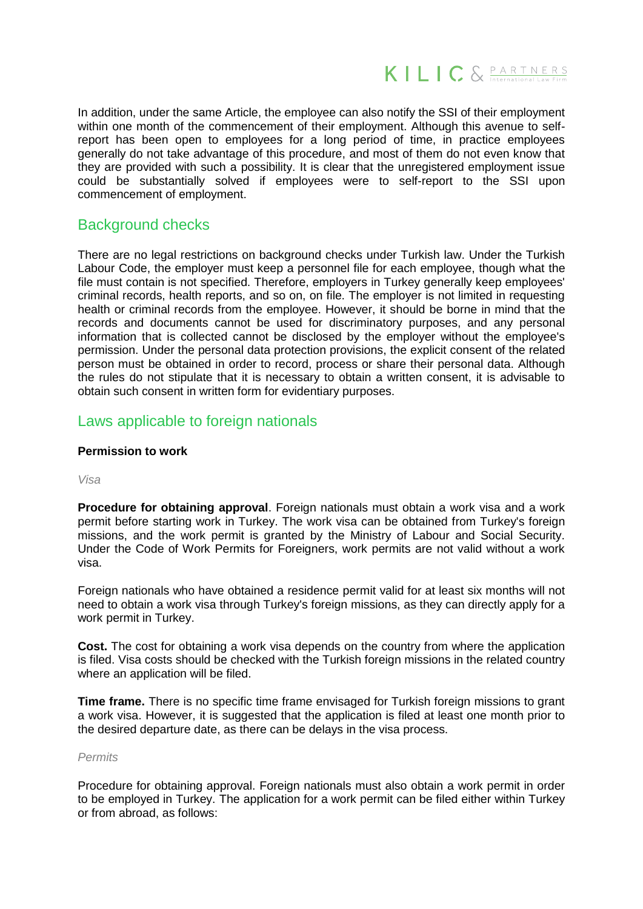

In addition, under the same Article, the employee can also notify the SSI of their employment within one month of the commencement of their employment. Although this avenue to selfreport has been open to employees for a long period of time, in practice employees generally do not take advantage of this procedure, and most of them do not even know that they are provided with such a possibility. It is clear that the unregistered employment issue could be substantially solved if employees were to self-report to the SSI upon commencement of employment.

# Background checks

There are no legal restrictions on background checks under Turkish law. Under the Turkish Labour Code, the employer must keep a personnel file for each employee, though what the file must contain is not specified. Therefore, employers in Turkey generally keep employees' criminal records, health reports, and so on, on file. The employer is not limited in requesting health or criminal records from the employee. However, it should be borne in mind that the records and documents cannot be used for discriminatory purposes, and any personal information that is collected cannot be disclosed by the employer without the employee's permission. Under the personal data protection provisions, the explicit consent of the related person must be obtained in order to record, process or share their personal data. Although the rules do not stipulate that it is necessary to obtain a written consent, it is advisable to obtain such consent in written form for evidentiary purposes.

# Laws applicable to foreign nationals

#### **Permission to work**

#### *Visa*

**Procedure for obtaining approval**. Foreign nationals must obtain a work visa and a work permit before starting work in Turkey. The work visa can be obtained from Turkey's foreign missions, and the work permit is granted by the Ministry of Labour and Social Security. Under the Code of Work Permits for Foreigners, work permits are not valid without a work visa.

Foreign nationals who have obtained a residence permit valid for at least six months will not need to obtain a work visa through Turkey's foreign missions, as they can directly apply for a work permit in Turkey.

**Cost.** The cost for obtaining a work visa depends on the country from where the application is filed. Visa costs should be checked with the Turkish foreign missions in the related country where an application will be filed.

**Time frame.** There is no specific time frame envisaged for Turkish foreign missions to grant a work visa. However, it is suggested that the application is filed at least one month prior to the desired departure date, as there can be delays in the visa process.

#### *Permits*

Procedure for obtaining approval. Foreign nationals must also obtain a work permit in order to be employed in Turkey. The application for a work permit can be filed either within Turkey or from abroad, as follows: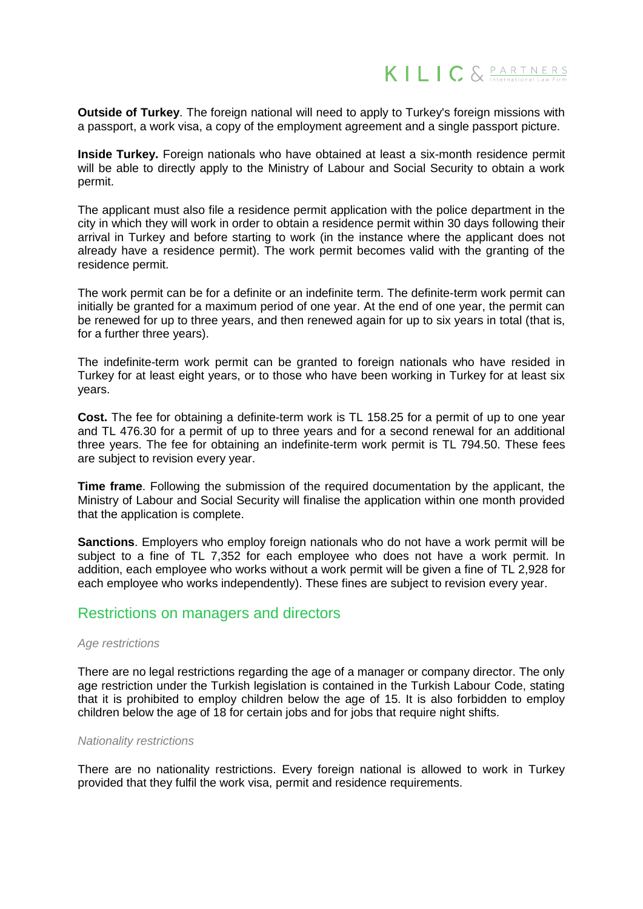

**Outside of Turkey**. The foreign national will need to apply to Turkey's foreign missions with a passport, a work visa, a copy of the employment agreement and a single passport picture.

**Inside Turkey.** Foreign nationals who have obtained at least a six-month residence permit will be able to directly apply to the Ministry of Labour and Social Security to obtain a work permit.

The applicant must also file a residence permit application with the police department in the city in which they will work in order to obtain a residence permit within 30 days following their arrival in Turkey and before starting to work (in the instance where the applicant does not already have a residence permit). The work permit becomes valid with the granting of the residence permit.

The work permit can be for a definite or an indefinite term. The definite-term work permit can initially be granted for a maximum period of one year. At the end of one year, the permit can be renewed for up to three years, and then renewed again for up to six years in total (that is, for a further three years).

The indefinite-term work permit can be granted to foreign nationals who have resided in Turkey for at least eight years, or to those who have been working in Turkey for at least six years.

**Cost.** The fee for obtaining a definite-term work is TL 158.25 for a permit of up to one year and TL 476.30 for a permit of up to three years and for a second renewal for an additional three years. The fee for obtaining an indefinite-term work permit is TL 794.50. These fees are subject to revision every year.

**Time frame**. Following the submission of the required documentation by the applicant, the Ministry of Labour and Social Security will finalise the application within one month provided that the application is complete.

**Sanctions**. Employers who employ foreign nationals who do not have a work permit will be subject to a fine of TL 7,352 for each employee who does not have a work permit. In addition, each employee who works without a work permit will be given a fine of TL 2,928 for each employee who works independently). These fines are subject to revision every year.

# Restrictions on managers and directors

#### *Age restrictions*

There are no legal restrictions regarding the age of a manager or company director. The only age restriction under the Turkish legislation is contained in the Turkish Labour Code, stating that it is prohibited to employ children below the age of 15. It is also forbidden to employ children below the age of 18 for certain jobs and for jobs that require night shifts.

#### *Nationality restrictions*

There are no nationality restrictions. Every foreign national is allowed to work in Turkey provided that they fulfil the work visa, permit and residence requirements.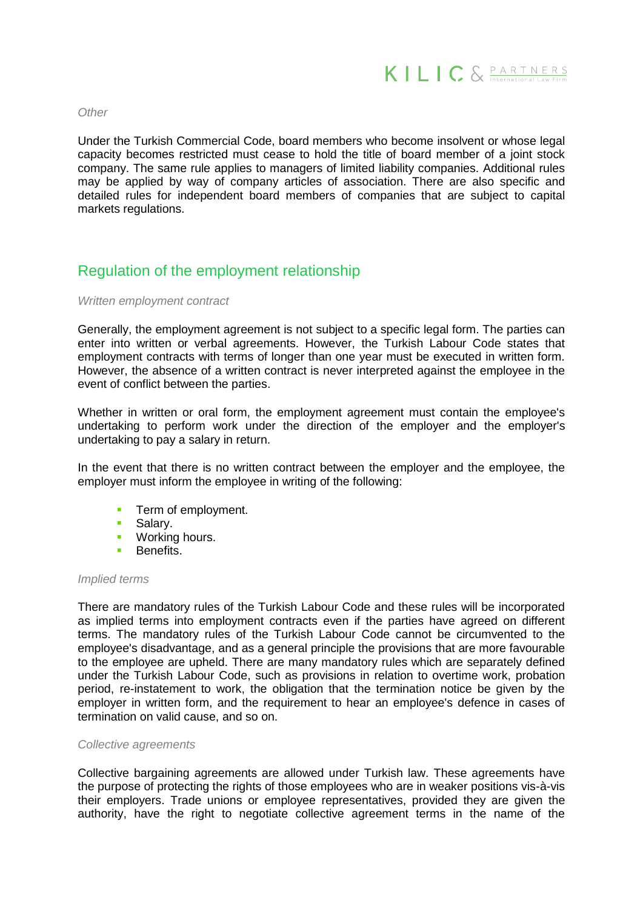

#### *Other*

Under the Turkish Commercial Code, board members who become insolvent or whose legal capacity becomes restricted must cease to hold the title of board member of a joint stock company. The same rule applies to managers of limited liability companies. Additional rules may be applied by way of company articles of association. There are also specific and detailed rules for independent board members of companies that are subject to capital markets regulations.

# Regulation of the employment relationship

#### *Written employment contract*

Generally, the employment agreement is not subject to a specific legal form. The parties can enter into written or verbal agreements. However, the Turkish Labour Code states that employment contracts with terms of longer than one year must be executed in written form. However, the absence of a written contract is never interpreted against the employee in the event of conflict between the parties.

Whether in written or oral form, the employment agreement must contain the employee's undertaking to perform work under the direction of the employer and the employer's undertaking to pay a salary in return.

In the event that there is no written contract between the employer and the employee, the employer must inform the employee in writing of the following:

- **Term of employment.**
- **Salary.**
- **Working hours.**<br>**Bonofits**
- **Benefits**

#### *Implied terms*

There are mandatory rules of the Turkish Labour Code and these rules will be incorporated as implied terms into employment contracts even if the parties have agreed on different terms. The mandatory rules of the Turkish Labour Code cannot be circumvented to the employee's disadvantage, and as a general principle the provisions that are more favourable to the employee are upheld. There are many mandatory rules which are separately defined under the Turkish Labour Code, such as provisions in relation to overtime work, probation period, re-instatement to work, the obligation that the termination notice be given by the employer in written form, and the requirement to hear an employee's defence in cases of termination on valid cause, and so on.

#### *Collective agreements*

Collective bargaining agreements are allowed under Turkish law. These agreements have the purpose of protecting the rights of those employees who are in weaker positions vis-à-vis their employers. Trade unions or employee representatives, provided they are given the authority, have the right to negotiate collective agreement terms in the name of the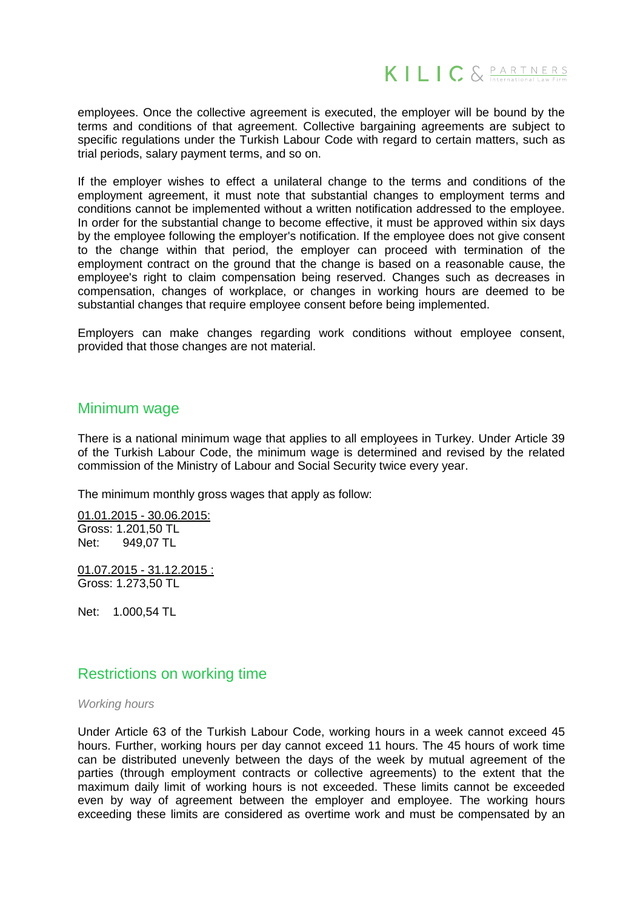

employees. Once the collective agreement is executed, the employer will be bound by the terms and conditions of that agreement. Collective bargaining agreements are subject to specific regulations under the Turkish Labour Code with regard to certain matters, such as trial periods, salary payment terms, and so on.

If the employer wishes to effect a unilateral change to the terms and conditions of the employment agreement, it must note that substantial changes to employment terms and conditions cannot be implemented without a written notification addressed to the employee. In order for the substantial change to become effective, it must be approved within six days by the employee following the employer's notification. If the employee does not give consent to the change within that period, the employer can proceed with termination of the employment contract on the ground that the change is based on a reasonable cause, the employee's right to claim compensation being reserved. Changes such as decreases in compensation, changes of workplace, or changes in working hours are deemed to be substantial changes that require employee consent before being implemented.

Employers can make changes regarding work conditions without employee consent, provided that those changes are not material.

# Minimum wage

There is a national minimum wage that applies to all employees in Turkey. Under Article 39 of the Turkish Labour Code, the minimum wage is determined and revised by the related commission of the Ministry of Labour and Social Security twice every year.

The minimum monthly gross wages that apply as follow:

01.01.2015 - 30.06.2015: Gross: 1.201,50 TL Net: 949,07 TL

01.07.2015 - 31.12.2015 : Gross: 1.273,50 TL

Net: 1.000,54 TL

# Restrictions on working time

#### *Working hours*

Under Article 63 of the Turkish Labour Code, working hours in a week cannot exceed 45 hours. Further, working hours per day cannot exceed 11 hours. The 45 hours of work time can be distributed unevenly between the days of the week by mutual agreement of the parties (through employment contracts or collective agreements) to the extent that the maximum daily limit of working hours is not exceeded. These limits cannot be exceeded even by way of agreement between the employer and employee. The working hours exceeding these limits are considered as overtime work and must be compensated by an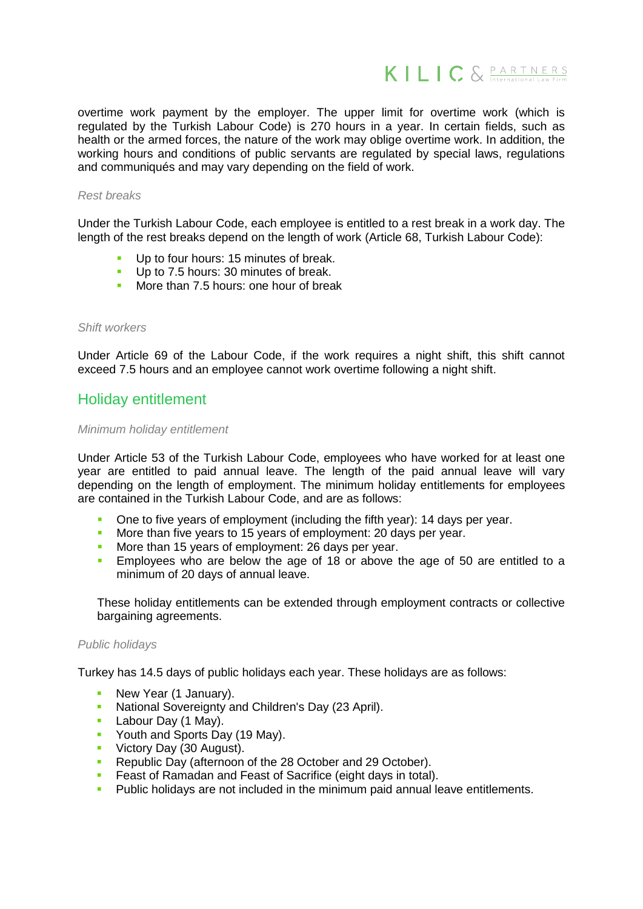

overtime work payment by the employer. The upper limit for overtime work (which is regulated by the Turkish Labour Code) is 270 hours in a year. In certain fields, such as health or the armed forces, the nature of the work may oblige overtime work. In addition, the working hours and conditions of public servants are regulated by special laws, regulations and communiqués and may vary depending on the field of work.

#### *Rest breaks*

Under the Turkish Labour Code, each employee is entitled to a rest break in a work day. The length of the rest breaks depend on the length of work (Article 68, Turkish Labour Code):

- Up to four hours: 15 minutes of break.
- Up to 7.5 hours: 30 minutes of break.
- More than 7.5 hours: one hour of break

#### *Shift workers*

Under Article 69 of the Labour Code, if the work requires a night shift, this shift cannot exceed 7.5 hours and an employee cannot work overtime following a night shift.

# Holiday entitlement

#### *Minimum holiday entitlement*

Under Article 53 of the Turkish Labour Code, employees who have worked for at least one year are entitled to paid annual leave. The length of the paid annual leave will vary depending on the length of employment. The minimum holiday entitlements for employees are contained in the Turkish Labour Code, and are as follows:

- One to five years of employment (including the fifth year): 14 days per year.
- More than five years to 15 years of employment: 20 days per year.
- More than 15 years of employment: 26 days per year.
- **Employees who are below the age of 18 or above the age of 50 are entitled to a** minimum of 20 days of annual leave.

These holiday entitlements can be extended through employment contracts or collective bargaining agreements.

#### *Public holidays*

Turkey has 14.5 days of public holidays each year. These holidays are as follows:

- New Year (1 January).
- **National Sovereignty and Children's Day (23 April).**
- **Labour Day (1 May).**
- Youth and Sports Day (19 May).
- **Victory Day (30 August).**
- Republic Day (afternoon of the 28 October and 29 October).
- Feast of Ramadan and Feast of Sacrifice (eight days in total).
- **Public holidays are not included in the minimum paid annual leave entitlements.**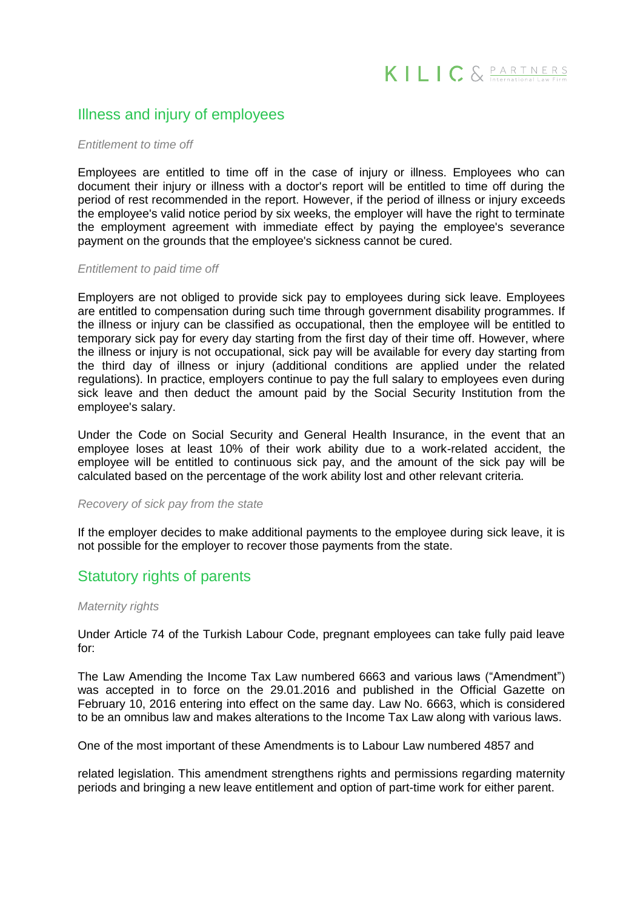# Illness and injury of employees

#### *Entitlement to time off*

Employees are entitled to time off in the case of injury or illness. Employees who can document their injury or illness with a doctor's report will be entitled to time off during the period of rest recommended in the report. However, if the period of illness or injury exceeds the employee's valid notice period by six weeks, the employer will have the right to terminate the employment agreement with immediate effect by paying the employee's severance payment on the grounds that the employee's sickness cannot be cured.

#### *Entitlement to paid time off*

Employers are not obliged to provide sick pay to employees during sick leave. Employees are entitled to compensation during such time through government disability programmes. If the illness or injury can be classified as occupational, then the employee will be entitled to temporary sick pay for every day starting from the first day of their time off. However, where the illness or injury is not occupational, sick pay will be available for every day starting from the third day of illness or injury (additional conditions are applied under the related regulations). In practice, employers continue to pay the full salary to employees even during sick leave and then deduct the amount paid by the Social Security Institution from the employee's salary.

Under the Code on Social Security and General Health Insurance, in the event that an employee loses at least 10% of their work ability due to a work-related accident, the employee will be entitled to continuous sick pay, and the amount of the sick pay will be calculated based on the percentage of the work ability lost and other relevant criteria.

#### *Recovery of sick pay from the state*

If the employer decides to make additional payments to the employee during sick leave, it is not possible for the employer to recover those payments from the state.

# Statutory rights of parents

#### *Maternity rights*

Under Article 74 of the Turkish Labour Code, pregnant employees can take fully paid leave for:

The Law Amending the Income Tax Law numbered 6663 and various laws ("Amendment") was accepted in to force on the 29.01.2016 and published in the Official Gazette on February 10, 2016 entering into effect on the same day. Law No. 6663, which is considered to be an omnibus law and makes alterations to the Income Tax Law along with various laws.

One of the most important of these Amendments is to Labour Law numbered 4857 and

related legislation. This amendment strengthens rights and permissions regarding maternity periods and bringing a new leave entitlement and option of part-time work for either parent.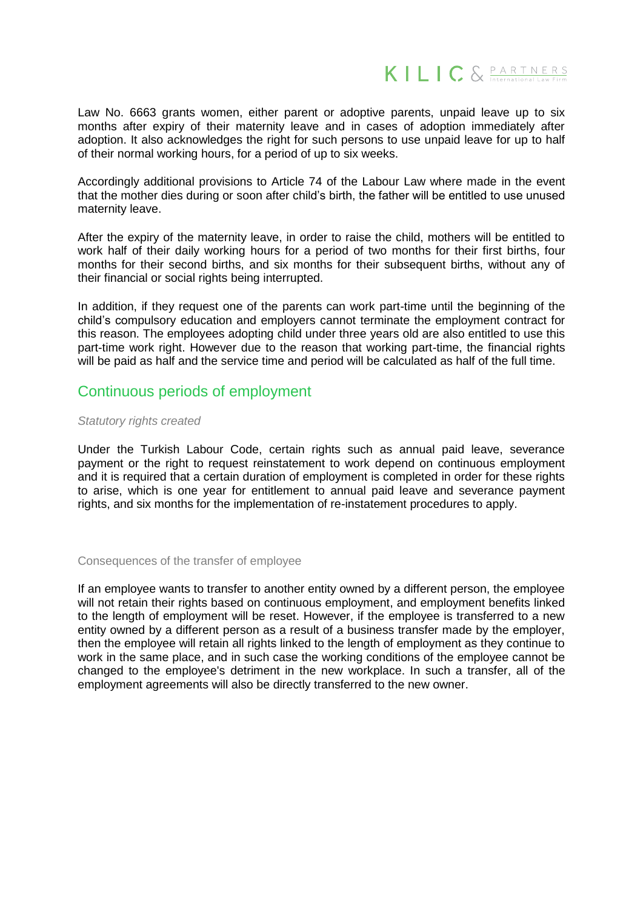

Law No. 6663 grants women, either parent or adoptive parents, unpaid leave up to six months after expiry of their maternity leave and in cases of adoption immediately after adoption. It also acknowledges the right for such persons to use unpaid leave for up to half of their normal working hours, for a period of up to six weeks.

Accordingly additional provisions to Article 74 of the Labour Law where made in the event that the mother dies during or soon after child's birth, the father will be entitled to use unused maternity leave.

After the expiry of the maternity leave, in order to raise the child, mothers will be entitled to work half of their daily working hours for a period of two months for their first births, four months for their second births, and six months for their subsequent births, without any of their financial or social rights being interrupted.

In addition, if they request one of the parents can work part-time until the beginning of the child's compulsory education and employers cannot terminate the employment contract for this reason. The employees adopting child under three years old are also entitled to use this part-time work right. However due to the reason that working part-time, the financial rights will be paid as half and the service time and period will be calculated as half of the full time.

# Continuous periods of employment

#### *Statutory rights created*

Under the Turkish Labour Code, certain rights such as annual paid leave, severance payment or the right to request reinstatement to work depend on continuous employment and it is required that a certain duration of employment is completed in order for these rights to arise, which is one year for entitlement to annual paid leave and severance payment rights, and six months for the implementation of re-instatement procedures to apply.

#### Consequences of the transfer of employee

If an employee wants to transfer to another entity owned by a different person, the employee will not retain their rights based on continuous employment, and employment benefits linked to the length of employment will be reset. However, if the employee is transferred to a new entity owned by a different person as a result of a business transfer made by the employer, then the employee will retain all rights linked to the length of employment as they continue to work in the same place, and in such case the working conditions of the employee cannot be changed to the employee's detriment in the new workplace. In such a transfer, all of the employment agreements will also be directly transferred to the new owner.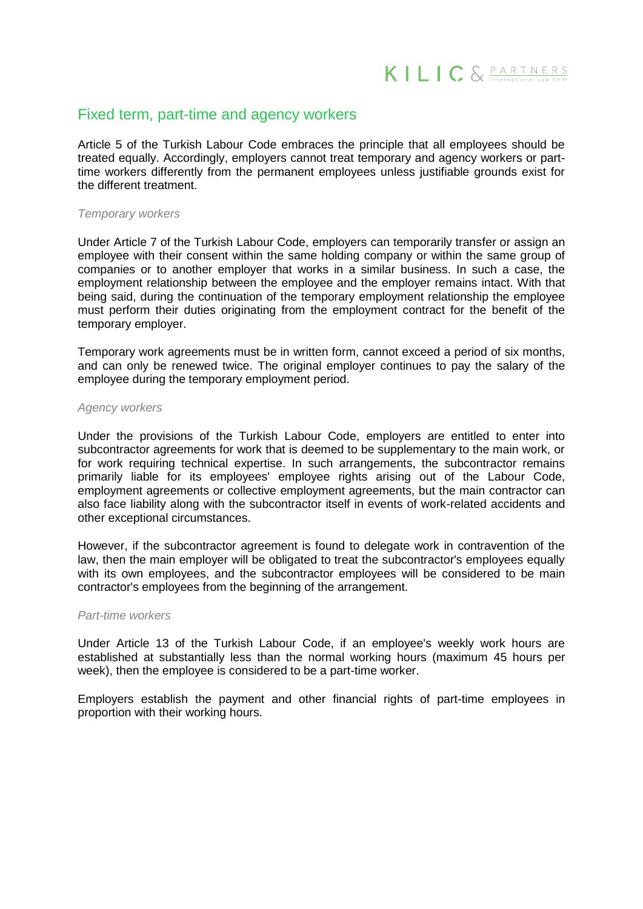# Fixed term, part-time and agency workers

Article 5 of the Turkish Labour Code embraces the principle that all employees should be treated equally. Accordingly, employers cannot treat temporary and agency workers or parttime workers differently from the permanent employees unless justifiable grounds exist for the different treatment.

#### *Temporary workers*

Under Article 7 of the Turkish Labour Code, employers can temporarily transfer or assign an employee with their consent within the same holding company or within the same group of companies or to another employer that works in a similar business. In such a case, the employment relationship between the employee and the employer remains intact. With that being said, during the continuation of the temporary employment relationship the employee must perform their duties originating from the employment contract for the benefit of the temporary employer.

Temporary work agreements must be in written form, cannot exceed a period of six months, and can only be renewed twice. The original employer continues to pay the salary of the employee during the temporary employment period.

#### *Agency workers*

Under the provisions of the Turkish Labour Code, employers are entitled to enter into subcontractor agreements for work that is deemed to be supplementary to the main work, or for work requiring technical expertise. In such arrangements, the subcontractor remains primarily liable for its employees' employee rights arising out of the Labour Code, employment agreements or collective employment agreements, but the main contractor can also face liability along with the subcontractor itself in events of work-related accidents and other exceptional circumstances.

However, if the subcontractor agreement is found to delegate work in contravention of the law, then the main employer will be obligated to treat the subcontractor's employees equally with its own employees, and the subcontractor employees will be considered to be main contractor's employees from the beginning of the arrangement.

#### *Part-time workers*

Under Article 13 of the Turkish Labour Code, if an employee's weekly work hours are established at substantially less than the normal working hours (maximum 45 hours per week), then the employee is considered to be a part-time worker.

Employers establish the payment and other financial rights of part-time employees in proportion with their working hours.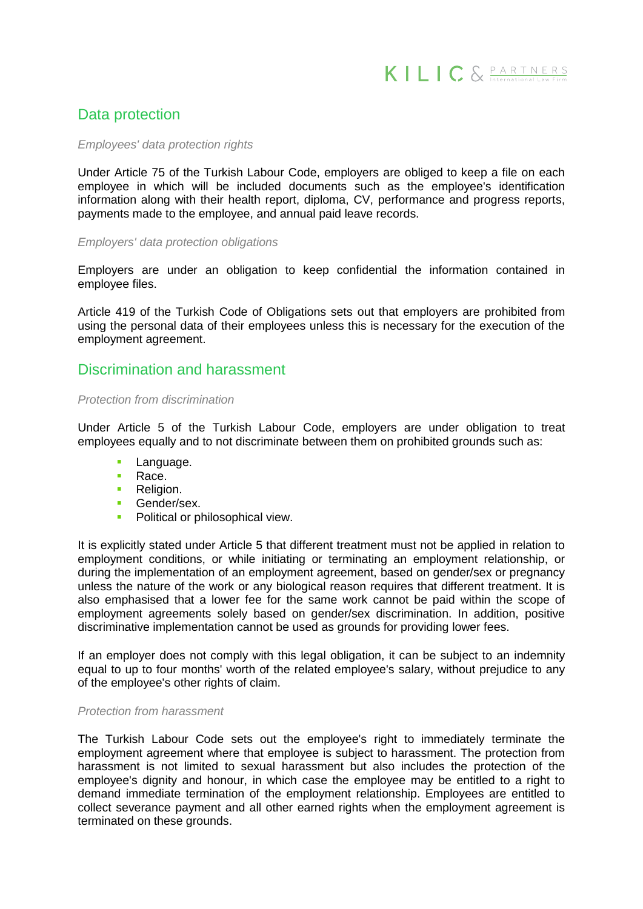

# Data protection

#### *Employees' data protection rights*

Under Article 75 of the Turkish Labour Code, employers are obliged to keep a file on each employee in which will be included documents such as the employee's identification information along with their health report, diploma, CV, performance and progress reports, payments made to the employee, and annual paid leave records.

#### *Employers' data protection obligations*

Employers are under an obligation to keep confidential the information contained in employee files.

Article 419 of the Turkish Code of Obligations sets out that employers are prohibited from using the personal data of their employees unless this is necessary for the execution of the employment agreement.

# Discrimination and harassment

#### *Protection from discrimination*

Under Article 5 of the Turkish Labour Code, employers are under obligation to treat employees equally and to not discriminate between them on prohibited grounds such as:

- Language.
- Race.
- **Religion.**
- Gender/sex.
- Political or philosophical view.

It is explicitly stated under Article 5 that different treatment must not be applied in relation to employment conditions, or while initiating or terminating an employment relationship, or during the implementation of an employment agreement, based on gender/sex or pregnancy unless the nature of the work or any biological reason requires that different treatment. It is also emphasised that a lower fee for the same work cannot be paid within the scope of employment agreements solely based on gender/sex discrimination. In addition, positive discriminative implementation cannot be used as grounds for providing lower fees.

If an employer does not comply with this legal obligation, it can be subject to an indemnity equal to up to four months' worth of the related employee's salary, without prejudice to any of the employee's other rights of claim.

#### *Protection from harassment*

The Turkish Labour Code sets out the employee's right to immediately terminate the employment agreement where that employee is subject to harassment. The protection from harassment is not limited to sexual harassment but also includes the protection of the employee's dignity and honour, in which case the employee may be entitled to a right to demand immediate termination of the employment relationship. Employees are entitled to collect severance payment and all other earned rights when the employment agreement is terminated on these grounds.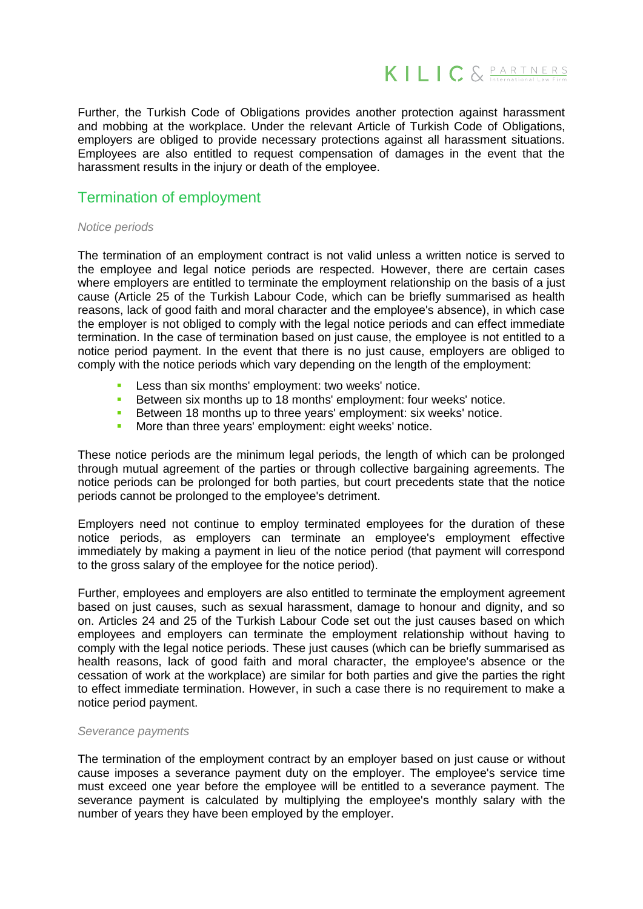

Further, the Turkish Code of Obligations provides another protection against harassment and mobbing at the workplace. Under the relevant Article of Turkish Code of Obligations, employers are obliged to provide necessary protections against all harassment situations. Employees are also entitled to request compensation of damages in the event that the harassment results in the injury or death of the employee.

# Termination of employment

#### *Notice periods*

The termination of an employment contract is not valid unless a written notice is served to the employee and legal notice periods are respected. However, there are certain cases where employers are entitled to terminate the employment relationship on the basis of a just cause (Article 25 of the Turkish Labour Code, which can be briefly summarised as health reasons, lack of good faith and moral character and the employee's absence), in which case the employer is not obliged to comply with the legal notice periods and can effect immediate termination. In the case of termination based on just cause, the employee is not entitled to a notice period payment. In the event that there is no just cause, employers are obliged to comply with the notice periods which vary depending on the length of the employment:

- Less than six months' employment: two weeks' notice.
- Between six months up to 18 months' employment: four weeks' notice.
- Between 18 months up to three years' employment: six weeks' notice.
- More than three years' employment: eight weeks' notice.

These notice periods are the minimum legal periods, the length of which can be prolonged through mutual agreement of the parties or through collective bargaining agreements. The notice periods can be prolonged for both parties, but court precedents state that the notice periods cannot be prolonged to the employee's detriment.

Employers need not continue to employ terminated employees for the duration of these notice periods, as employers can terminate an employee's employment effective immediately by making a payment in lieu of the notice period (that payment will correspond to the gross salary of the employee for the notice period).

Further, employees and employers are also entitled to terminate the employment agreement based on just causes, such as sexual harassment, damage to honour and dignity, and so on. Articles 24 and 25 of the Turkish Labour Code set out the just causes based on which employees and employers can terminate the employment relationship without having to comply with the legal notice periods. These just causes (which can be briefly summarised as health reasons, lack of good faith and moral character, the employee's absence or the cessation of work at the workplace) are similar for both parties and give the parties the right to effect immediate termination. However, in such a case there is no requirement to make a notice period payment.

#### *Severance payments*

The termination of the employment contract by an employer based on just cause or without cause imposes a severance payment duty on the employer. The employee's service time must exceed one year before the employee will be entitled to a severance payment. The severance payment is calculated by multiplying the employee's monthly salary with the number of years they have been employed by the employer.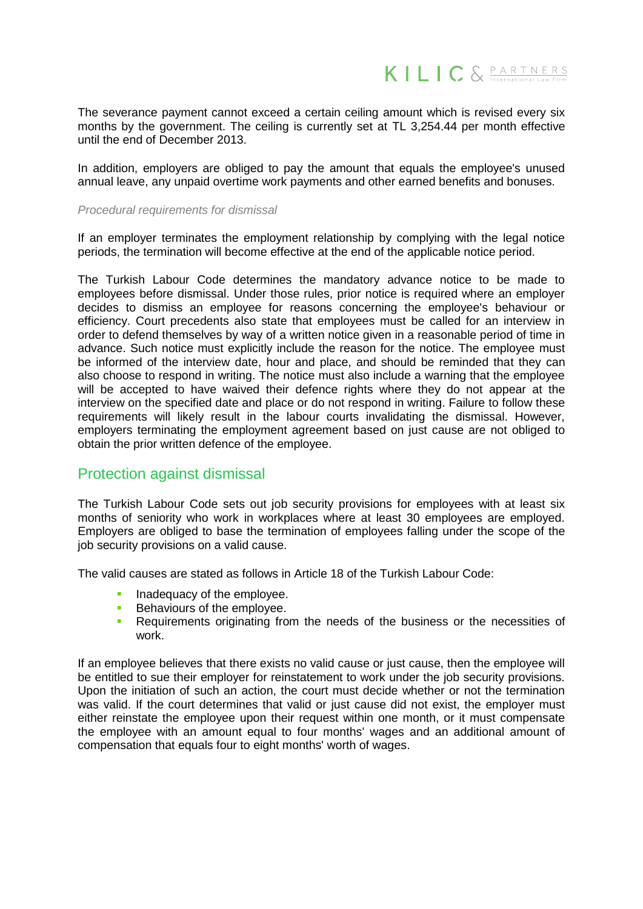

The severance payment cannot exceed a certain ceiling amount which is revised every six months by the government. The ceiling is currently set at TL 3,254.44 per month effective until the end of December 2013.

In addition, employers are obliged to pay the amount that equals the employee's unused annual leave, any unpaid overtime work payments and other earned benefits and bonuses.

#### *Procedural requirements for dismissal*

If an employer terminates the employment relationship by complying with the legal notice periods, the termination will become effective at the end of the applicable notice period.

The Turkish Labour Code determines the mandatory advance notice to be made to employees before dismissal. Under those rules, prior notice is required where an employer decides to dismiss an employee for reasons concerning the employee's behaviour or efficiency. Court precedents also state that employees must be called for an interview in order to defend themselves by way of a written notice given in a reasonable period of time in advance. Such notice must explicitly include the reason for the notice. The employee must be informed of the interview date, hour and place, and should be reminded that they can also choose to respond in writing. The notice must also include a warning that the employee will be accepted to have waived their defence rights where they do not appear at the interview on the specified date and place or do not respond in writing. Failure to follow these requirements will likely result in the labour courts invalidating the dismissal. However, employers terminating the employment agreement based on just cause are not obliged to obtain the prior written defence of the employee.

# Protection against dismissal

The Turkish Labour Code sets out job security provisions for employees with at least six months of seniority who work in workplaces where at least 30 employees are employed. Employers are obliged to base the termination of employees falling under the scope of the job security provisions on a valid cause.

The valid causes are stated as follows in Article 18 of the Turkish Labour Code:

- Inadequacy of the employee.
- Behaviours of the employee.
- **Requirements originating from the needs of the business or the necessities of** work.

If an employee believes that there exists no valid cause or just cause, then the employee will be entitled to sue their employer for reinstatement to work under the job security provisions. Upon the initiation of such an action, the court must decide whether or not the termination was valid. If the court determines that valid or just cause did not exist, the employer must either reinstate the employee upon their request within one month, or it must compensate the employee with an amount equal to four months' wages and an additional amount of compensation that equals four to eight months' worth of wages.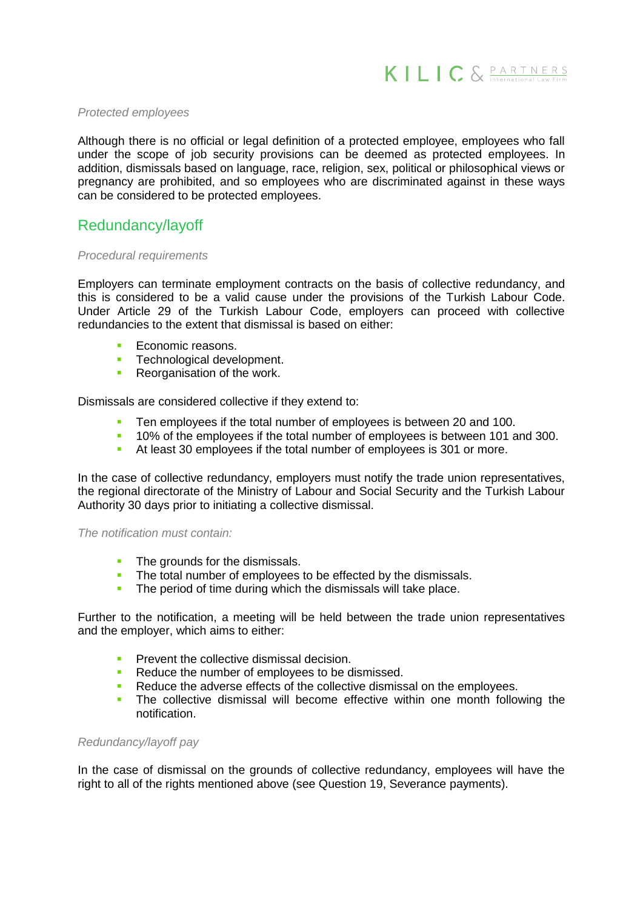

#### *Protected employees*

Although there is no official or legal definition of a protected employee, employees who fall under the scope of job security provisions can be deemed as protected employees. In addition, dismissals based on language, race, religion, sex, political or philosophical views or pregnancy are prohibited, and so employees who are discriminated against in these ways can be considered to be protected employees.

# Redundancy/layoff

#### *Procedural requirements*

Employers can terminate employment contracts on the basis of collective redundancy, and this is considered to be a valid cause under the provisions of the Turkish Labour Code. Under Article 29 of the Turkish Labour Code, employers can proceed with collective redundancies to the extent that dismissal is based on either:

- Economic reasons.
- **Technological development.**
- **Reorganisation of the work.**

Dismissals are considered collective if they extend to:

- Ten employees if the total number of employees is between 20 and 100.
- 10% of the employees if the total number of employees is between 101 and 300.
- At least 30 employees if the total number of employees is 301 or more.

In the case of collective redundancy, employers must notify the trade union representatives, the regional directorate of the Ministry of Labour and Social Security and the Turkish Labour Authority 30 days prior to initiating a collective dismissal.

#### *The notification must contain:*

- The grounds for the dismissals.
- The total number of employees to be effected by the dismissals.
- The period of time during which the dismissals will take place.

Further to the notification, a meeting will be held between the trade union representatives and the employer, which aims to either:

- Prevent the collective dismissal decision.
- Reduce the number of employees to be dismissed.
- Reduce the adverse effects of the collective dismissal on the employees.
- The collective dismissal will become effective within one month following the notification.

#### *Redundancy/layoff pay*

In the case of dismissal on the grounds of collective redundancy, employees will have the right to all of the rights mentioned above (see Question 19, Severance payments).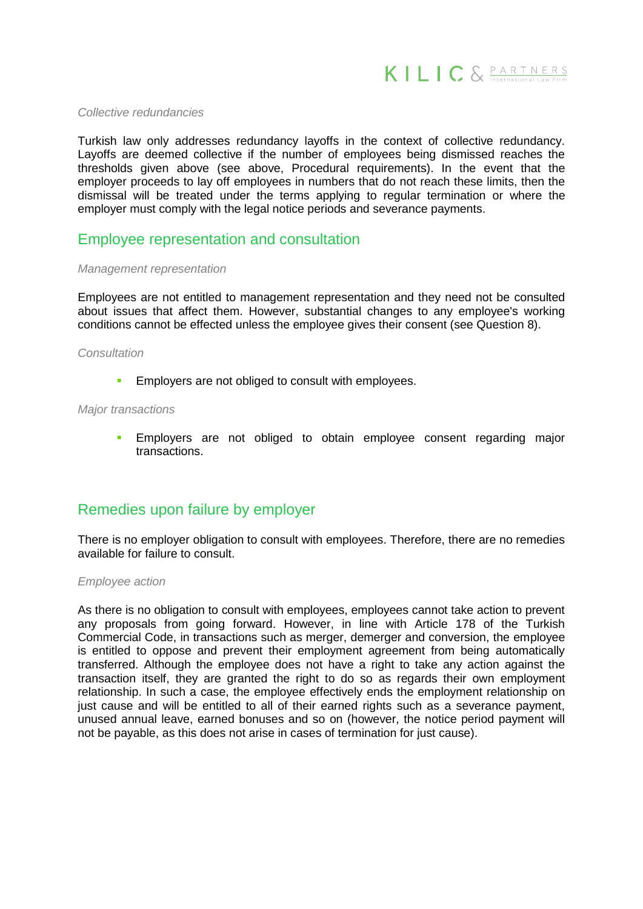

#### *Collective redundancies*

Turkish law only addresses redundancy layoffs in the context of collective redundancy. Layoffs are deemed collective if the number of employees being dismissed reaches the thresholds given above (see above, Procedural requirements). In the event that the employer proceeds to lay off employees in numbers that do not reach these limits, then the dismissal will be treated under the terms applying to regular termination or where the employer must comply with the legal notice periods and severance payments.

# Employee representation and consultation

#### *Management representation*

Employees are not entitled to management representation and they need not be consulted about issues that affect them. However, substantial changes to any employee's working conditions cannot be effected unless the employee gives their consent (see Question 8).

#### *Consultation*

**Employers are not obliged to consult with employees.** 

#### *Major transactions*

**Employers** are not obliged to obtain employee consent regarding major transactions.

# Remedies upon failure by employer

There is no employer obligation to consult with employees. Therefore, there are no remedies available for failure to consult.

#### *Employee action*

As there is no obligation to consult with employees, employees cannot take action to prevent any proposals from going forward. However, in line with Article 178 of the Turkish Commercial Code, in transactions such as merger, demerger and conversion, the employee is entitled to oppose and prevent their employment agreement from being automatically transferred. Although the employee does not have a right to take any action against the transaction itself, they are granted the right to do so as regards their own employment relationship. In such a case, the employee effectively ends the employment relationship on just cause and will be entitled to all of their earned rights such as a severance payment, unused annual leave, earned bonuses and so on (however, the notice period payment will not be payable, as this does not arise in cases of termination for just cause).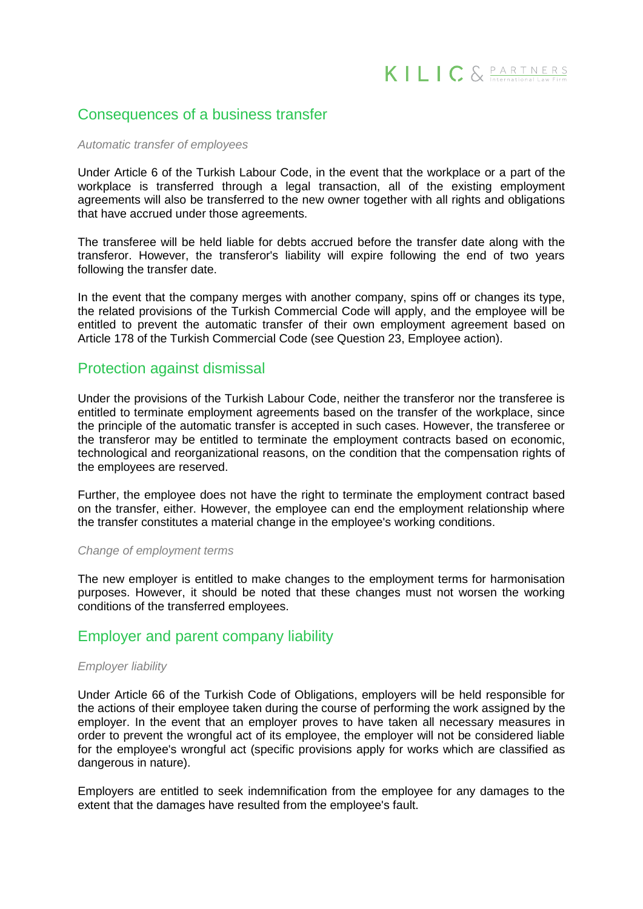# Consequences of a business transfer

#### *Automatic transfer of employees*

Under Article 6 of the Turkish Labour Code, in the event that the workplace or a part of the workplace is transferred through a legal transaction, all of the existing employment agreements will also be transferred to the new owner together with all rights and obligations that have accrued under those agreements.

The transferee will be held liable for debts accrued before the transfer date along with the transferor. However, the transferor's liability will expire following the end of two years following the transfer date.

In the event that the company merges with another company, spins off or changes its type, the related provisions of the Turkish Commercial Code will apply, and the employee will be entitled to prevent the automatic transfer of their own employment agreement based on Article 178 of the Turkish Commercial Code (see Question 23, Employee action).

# Protection against dismissal

Under the provisions of the Turkish Labour Code, neither the transferor nor the transferee is entitled to terminate employment agreements based on the transfer of the workplace, since the principle of the automatic transfer is accepted in such cases. However, the transferee or the transferor may be entitled to terminate the employment contracts based on economic, technological and reorganizational reasons, on the condition that the compensation rights of the employees are reserved.

Further, the employee does not have the right to terminate the employment contract based on the transfer, either. However, the employee can end the employment relationship where the transfer constitutes a material change in the employee's working conditions.

#### *Change of employment terms*

The new employer is entitled to make changes to the employment terms for harmonisation purposes. However, it should be noted that these changes must not worsen the working conditions of the transferred employees.

# Employer and parent company liability

#### *Employer liability*

Under Article 66 of the Turkish Code of Obligations, employers will be held responsible for the actions of their employee taken during the course of performing the work assigned by the employer. In the event that an employer proves to have taken all necessary measures in order to prevent the wrongful act of its employee, the employer will not be considered liable for the employee's wrongful act (specific provisions apply for works which are classified as dangerous in nature).

Employers are entitled to seek indemnification from the employee for any damages to the extent that the damages have resulted from the employee's fault.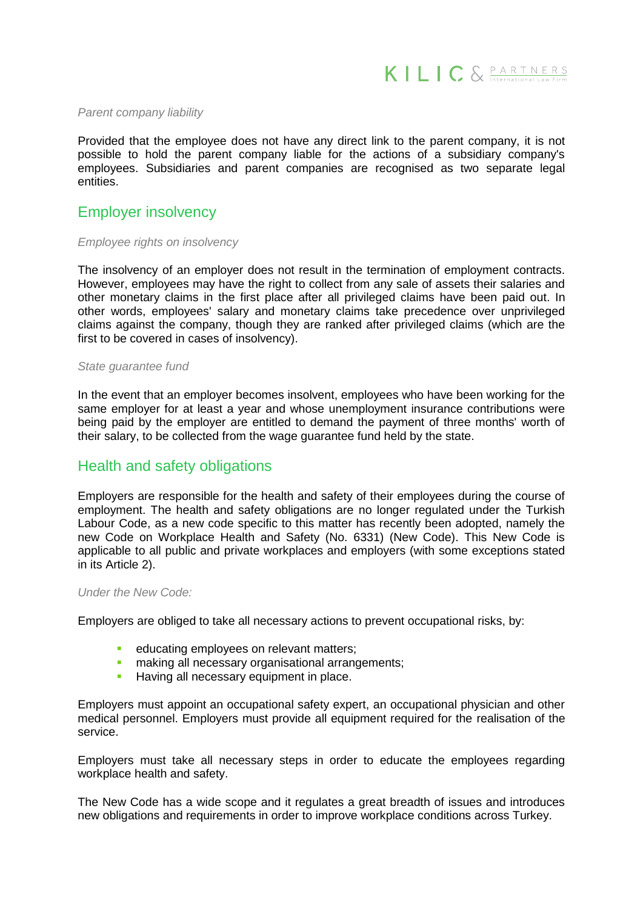

#### *Parent company liability*

Provided that the employee does not have any direct link to the parent company, it is not possible to hold the parent company liable for the actions of a subsidiary company's employees. Subsidiaries and parent companies are recognised as two separate legal entities.

### Employer insolvency

#### *Employee rights on insolvency*

The insolvency of an employer does not result in the termination of employment contracts. However, employees may have the right to collect from any sale of assets their salaries and other monetary claims in the first place after all privileged claims have been paid out. In other words, employees' salary and monetary claims take precedence over unprivileged claims against the company, though they are ranked after privileged claims (which are the first to be covered in cases of insolvency).

#### *State guarantee fund*

In the event that an employer becomes insolvent, employees who have been working for the same employer for at least a year and whose unemployment insurance contributions were being paid by the employer are entitled to demand the payment of three months' worth of their salary, to be collected from the wage guarantee fund held by the state.

# Health and safety obligations

Employers are responsible for the health and safety of their employees during the course of employment. The health and safety obligations are no longer regulated under the Turkish Labour Code, as a new code specific to this matter has recently been adopted, namely the new Code on Workplace Health and Safety (No. 6331) (New Code). This New Code is applicable to all public and private workplaces and employers (with some exceptions stated in its Article 2).

#### *Under the New Code:*

Employers are obliged to take all necessary actions to prevent occupational risks, by:

- educating employees on relevant matters;
- **n** making all necessary organisational arrangements;
- **Having all necessary equipment in place.**

Employers must appoint an occupational safety expert, an occupational physician and other medical personnel. Employers must provide all equipment required for the realisation of the service.

Employers must take all necessary steps in order to educate the employees regarding workplace health and safety.

The New Code has a wide scope and it regulates a great breadth of issues and introduces new obligations and requirements in order to improve workplace conditions across Turkey.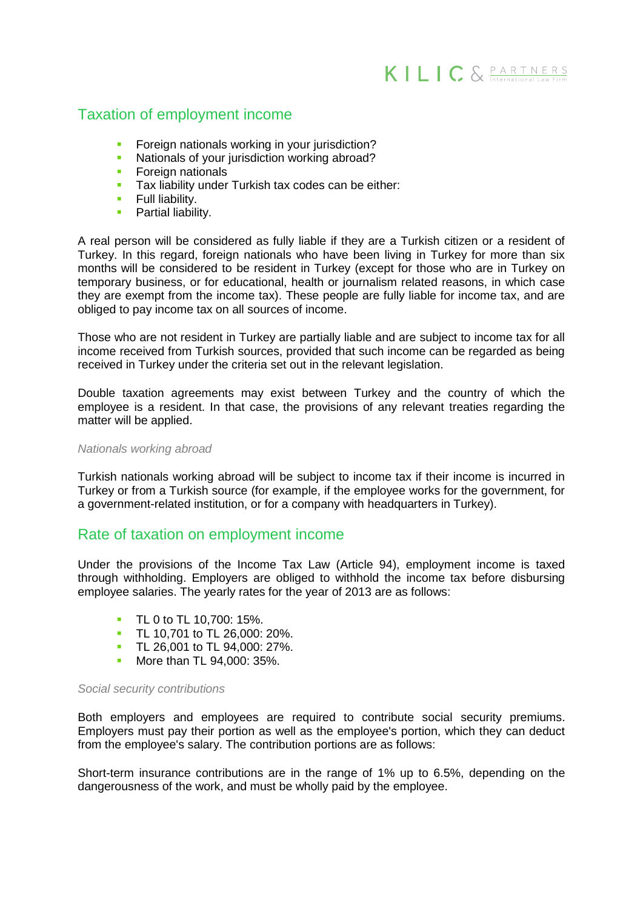# Taxation of employment income

- Foreign nationals working in your jurisdiction?
- Nationals of your jurisdiction working abroad?<br>• Foreian nationals
- Foreign nationals
- Tax liability under Turkish tax codes can be either:<br>Full liability
- Full liability.<br>• Partial liabili
- Partial liability.

A real person will be considered as fully liable if they are a Turkish citizen or a resident of Turkey. In this regard, foreign nationals who have been living in Turkey for more than six months will be considered to be resident in Turkey (except for those who are in Turkey on temporary business, or for educational, health or journalism related reasons, in which case they are exempt from the income tax). These people are fully liable for income tax, and are obliged to pay income tax on all sources of income.

Those who are not resident in Turkey are partially liable and are subject to income tax for all income received from Turkish sources, provided that such income can be regarded as being received in Turkey under the criteria set out in the relevant legislation.

Double taxation agreements may exist between Turkey and the country of which the employee is a resident. In that case, the provisions of any relevant treaties regarding the matter will be applied.

#### *Nationals working abroad*

Turkish nationals working abroad will be subject to income tax if their income is incurred in Turkey or from a Turkish source (for example, if the employee works for the government, for a government-related institution, or for a company with headquarters in Turkey).

# Rate of taxation on employment income

Under the provisions of the Income Tax Law (Article 94), employment income is taxed through withholding. Employers are obliged to withhold the income tax before disbursing employee salaries. The yearly rates for the year of 2013 are as follows:

- **TL 0 to TL 10,700: 15%.**
- **TL 10.701 to TL 26.000: 20%.**
- TL 26,001 to TL 94,000: 27%.<br>More than TL 94,000: 35%
- More than TL 94,000: 35%.

#### *Social security contributions*

Both employers and employees are required to contribute social security premiums. Employers must pay their portion as well as the employee's portion, which they can deduct from the employee's salary. The contribution portions are as follows:

Short-term insurance contributions are in the range of 1% up to 6.5%, depending on the dangerousness of the work, and must be wholly paid by the employee.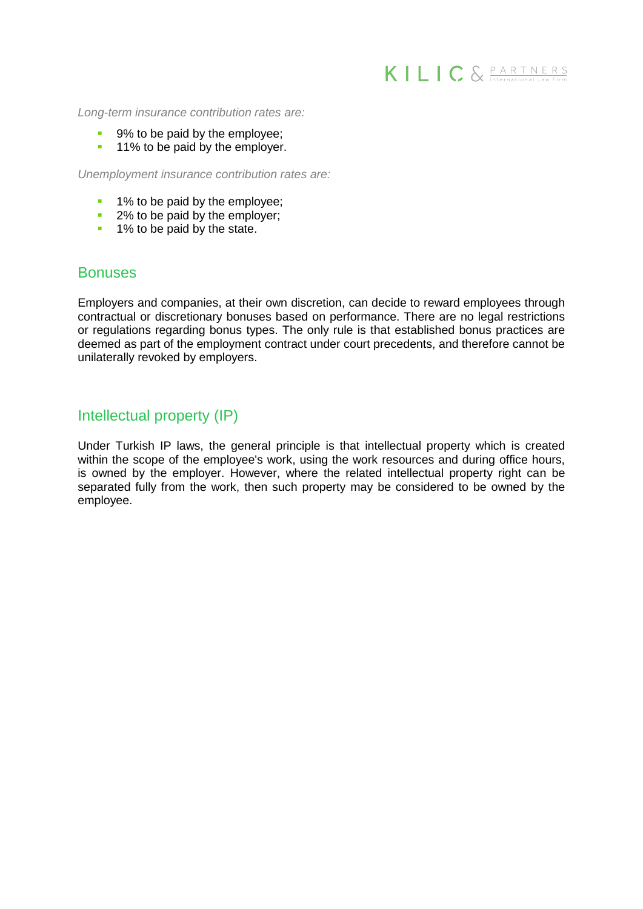

*Long-term insurance contribution rates are:*

- 9% to be paid by the employee;
- **11% to be paid by the employer.**

*Unemployment insurance contribution rates are:*

- **1% to be paid by the employee;**
- <sup>2%</sup> to be paid by the employer;
- **1% to be paid by the state.**

# **Bonuses**

Employers and companies, at their own discretion, can decide to reward employees through contractual or discretionary bonuses based on performance. There are no legal restrictions or regulations regarding bonus types. The only rule is that established bonus practices are deemed as part of the employment contract under court precedents, and therefore cannot be unilaterally revoked by employers.

# Intellectual property (IP)

Under Turkish IP laws, the general principle is that intellectual property which is created within the scope of the employee's work, using the work resources and during office hours, is owned by the employer. However, where the related intellectual property right can be separated fully from the work, then such property may be considered to be owned by the employee.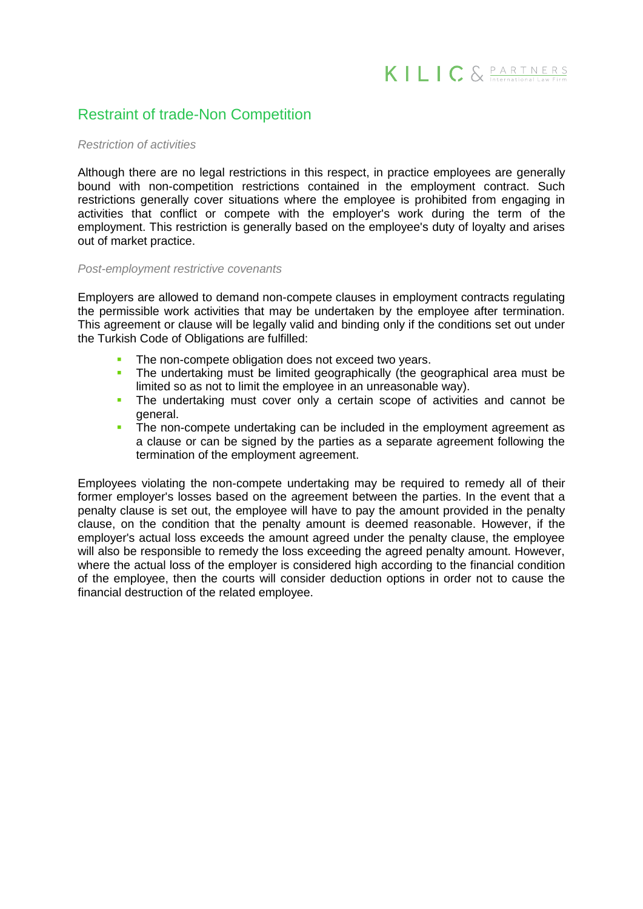# Restraint of trade-Non Competition

#### *Restriction of activities*

Although there are no legal restrictions in this respect, in practice employees are generally bound with non-competition restrictions contained in the employment contract. Such restrictions generally cover situations where the employee is prohibited from engaging in activities that conflict or compete with the employer's work during the term of the employment. This restriction is generally based on the employee's duty of loyalty and arises out of market practice.

#### *Post-employment restrictive covenants*

Employers are allowed to demand non-compete clauses in employment contracts regulating the permissible work activities that may be undertaken by the employee after termination. This agreement or clause will be legally valid and binding only if the conditions set out under the Turkish Code of Obligations are fulfilled:

- The non-compete obligation does not exceed two years.
- The undertaking must be limited geographically (the geographical area must be limited so as not to limit the employee in an unreasonable way).
- The undertaking must cover only a certain scope of activities and cannot be general.
- The non-compete undertaking can be included in the employment agreement as a clause or can be signed by the parties as a separate agreement following the termination of the employment agreement.

Employees violating the non-compete undertaking may be required to remedy all of their former employer's losses based on the agreement between the parties. In the event that a penalty clause is set out, the employee will have to pay the amount provided in the penalty clause, on the condition that the penalty amount is deemed reasonable. However, if the employer's actual loss exceeds the amount agreed under the penalty clause, the employee will also be responsible to remedy the loss exceeding the agreed penalty amount. However, where the actual loss of the employer is considered high according to the financial condition of the employee, then the courts will consider deduction options in order not to cause the financial destruction of the related employee.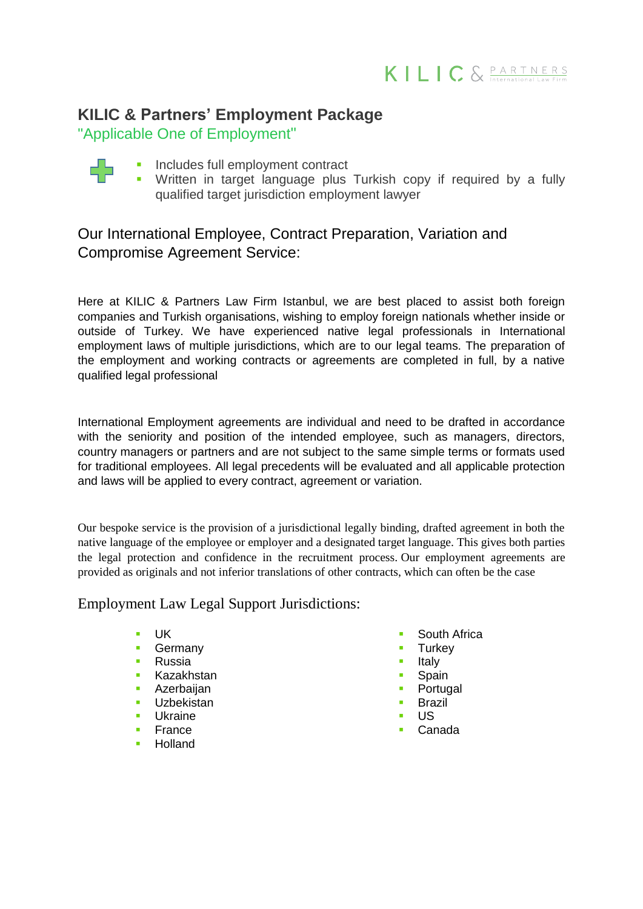

# **KILIC & Partners' Employment Package**

"Applicable One of Employment"

- Includes full employment contract
	- Written in target language plus Turkish copy if required by a fully qualified target jurisdiction employment lawyer

# Our International Employee, Contract Preparation, Variation and Compromise Agreement Service:

Here at KILIC & Partners Law Firm Istanbul, we are best placed to assist both foreign companies and Turkish organisations, wishing to employ foreign nationals whether inside or outside of Turkey. We have experienced native legal professionals in International employment laws of multiple jurisdictions, which are to our legal teams. The preparation of the employment and working contracts or agreements are completed in full, by a native qualified legal professional

International Employment agreements are individual and need to be drafted in accordance with the seniority and position of the intended employee, such as managers, directors, country managers or partners and are not subject to the same simple terms or formats used for traditional employees. All legal precedents will be evaluated and all applicable protection and laws will be applied to every contract, agreement or variation.

Our bespoke service is the provision of a jurisdictional legally binding, drafted agreement in both the native language of the employee or employer and a designated target language. This gives both parties the legal protection and confidence in the recruitment process. Our employment agreements are provided as originals and not inferior translations of other contracts, which can often be the case

Employment Law Legal Support Jurisdictions:

- UK
- **Germany**
- **Russia**
- **Kazakhstan**
- **Azerbaijan**
- **Uzbekistan**
- Ukraine
- **France**
- Holland
- South Africa
- **Turkey**
- Italy
- Spain
- Portugal
- **Brazil**
- US
- Canada